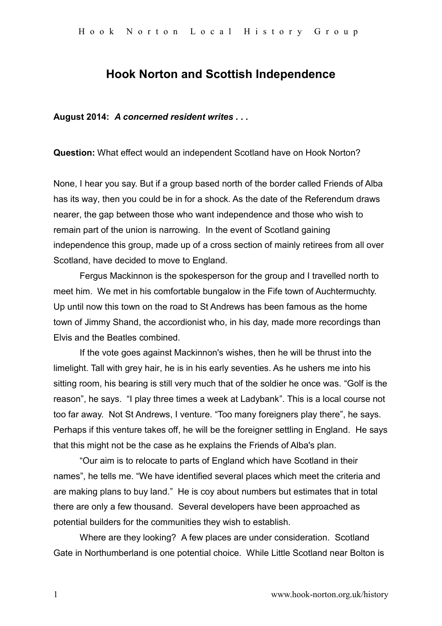## **Hook Norton and Scottish Independence**

**August 2014:** *A concerned resident writes . . .*

**Question:** What effect would an independent Scotland have on Hook Norton?

None, I hear you say. But if a group based north of the border called Friends of Alba has its way, then you could be in for a shock. As the date of the Referendum draws nearer, the gap between those who want independence and those who wish to remain part of the union is narrowing. In the event of Scotland gaining independence this group, made up of a cross section of mainly retirees from all over Scotland, have decided to move to England.

Fergus Mackinnon is the spokesperson for the group and I travelled north to meet him. We met in his comfortable bungalow in the Fife town of Auchtermuchty. Up until now this town on the road to St Andrews has been famous as the home town of Jimmy Shand, the accordionist who, in his day, made more recordings than Elvis and the Beatles combined.

If the vote goes against Mackinnon's wishes, then he will be thrust into the limelight. Tall with grey hair, he is in his early seventies. As he ushers me into his sitting room, his bearing is still very much that of the soldier he once was. "Golf is the reason", he says. "I play three times a week at Ladybank". This is a local course not too far away. Not St Andrews, I venture. "Too many foreigners play there", he says. Perhaps if this venture takes off, he will be the foreigner settling in England. He says that this might not be the case as he explains the Friends of Alba's plan.

"Our aim is to relocate to parts of England which have Scotland in their names", he tells me. "We have identified several places which meet the criteria and are making plans to buy land." He is coy about numbers but estimates that in total there are only a few thousand. Several developers have been approached as potential builders for the communities they wish to establish.

Where are they looking? A few places are under consideration. Scotland Gate in Northumberland is one potential choice. While Little Scotland near Bolton is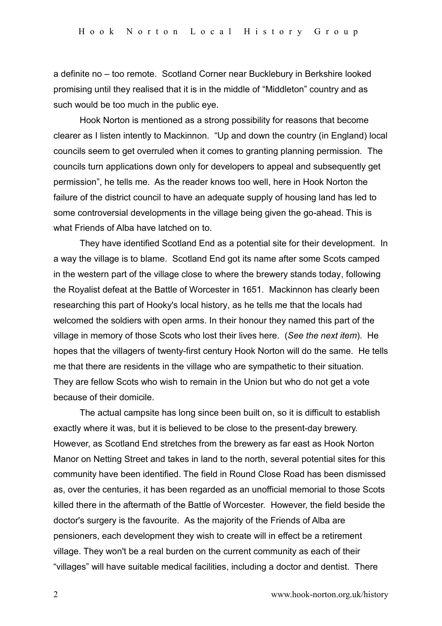a definite no – too remote. Scotland Corner near Bucklebury in Berkshire looked promising until they realised that it is in the middle of "Middleton" country and as such would be too much in the public eye.

Hook Norton is mentioned as a strong possibility for reasons that become clearer as I listen intently to Mackinnon. "Up and down the country (in England) local councils seem to get overruled when it comes to granting planning permission. The councils turn applications down only for developers to appeal and subsequently get permission", he tells me. As the reader knows too well, here in Hook Norton the failure of the district council to have an adequate supply of housing land has led to some controversial developments in the village being given the go-ahead. This is what Friends of Alba have latched on to.

They have identified Scotland End as a potential site for their development. In a way the village is to blame. Scotland End got its name after some Scots camped in the western part of the village close to where the brewery stands today, following the Royalist defeat at the Battle of Worcester in 1651. Mackinnon has clearly been researching this part of Hooky's local history, as he tells me that the locals had welcomed the soldiers with open arms. In their honour they named this part of the village in memory of those Scots who lost their lives here. (*See the next item*). He hopes that the villagers of twenty-first century Hook Norton will do the same. He tells me that there are residents in the village who are sympathetic to their situation. They are fellow Scots who wish to remain in the Union but who do not get a vote because of their domicile.

The actual campsite has long since been built on, so it is difficult to establish exactly where it was, but it is believed to be close to the present-day brewery. However, as Scotland End stretches from the brewery as far east as Hook Norton Manor on Netting Street and takes in land to the north, several potential sites for this community have been identified. The field in Round Close Road has been dismissed as, over the centuries, it has been regarded as an unofficial memorial to those Scots killed there in the aftermath of the Battle of Worcester. However, the field beside the doctor's surgery is the favourite. As the majority of the Friends of Alba are pensioners, each development they wish to create will in effect be a retirement village. They won't be a real burden on the current community as each of their "villages" will have suitable medical facilities, including a doctor and dentist. There